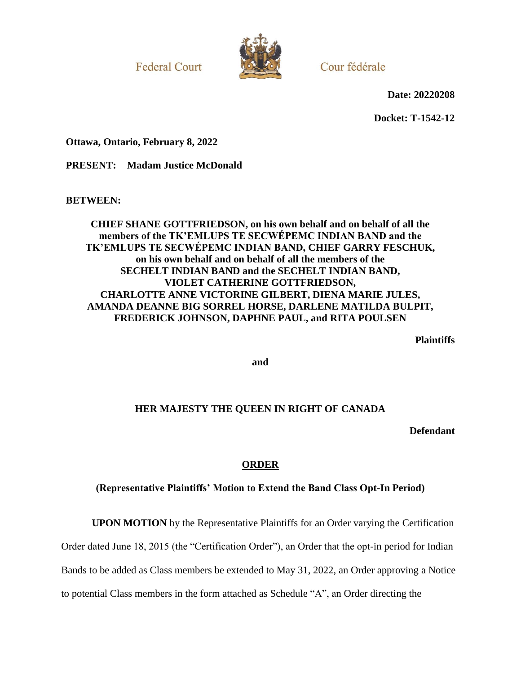**Federal Court** 



Cour fédérale

**Date: 20220208**

**Docket: T-1542-12**

**Ottawa, Ontario, February 8, 2022**

**PRESENT: Madam Justice McDonald**

**BETWEEN:**

# **CHIEF SHANE GOTTFRIEDSON, on his own behalf and on behalf of all the members of the TK'EMLUPS TE SECWÉPEMC INDIAN BAND and the TK'EMLUPS TE SECWÉPEMC INDIAN BAND, CHIEF GARRY FESCHUK, on his own behalf and on behalf of all the members of the SECHELT INDIAN BAND and the SECHELT INDIAN BAND, VIOLET CATHERINE GOTTFRIEDSON, CHARLOTTE ANNE VICTORINE GILBERT, DIENA MARIE JULES, AMANDA DEANNE BIG SORREL HORSE, DARLENE MATILDA BULPIT, FREDERICK JOHNSON, DAPHNE PAUL, and RITA POULSEN**

**Plaintiffs**

**and**

# **HER MAJESTY THE QUEEN IN RIGHT OF CANADA**

**Defendant**

# **ORDER**

# **(Representative Plaintiffs' Motion to Extend the Band Class Opt-In Period)**

**UPON MOTION** by the Representative Plaintiffs for an Order varying the Certification

Order dated June 18, 2015 (the "Certification Order"), an Order that the opt-in period for Indian

Bands to be added as Class members be extended to May 31, 2022, an Order approving a Notice

to potential Class members in the form attached as Schedule "A", an Order directing the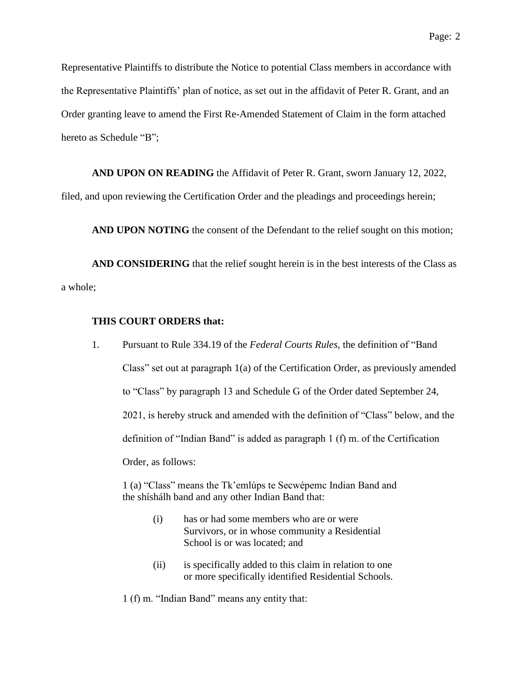Representative Plaintiffs to distribute the Notice to potential Class members in accordance with the Representative Plaintiffs' plan of notice, as set out in the affidavit of Peter R. Grant, and an Order granting leave to amend the First Re-Amended Statement of Claim in the form attached hereto as Schedule "B";

**AND UPON ON READING** the Affidavit of Peter R. Grant, sworn January 12, 2022,

filed, and upon reviewing the Certification Order and the pleadings and proceedings herein;

**AND UPON NOTING** the consent of the Defendant to the relief sought on this motion;

**AND CONSIDERING** that the relief sought herein is in the best interests of the Class as a whole;

### **THIS COURT ORDERS that:**

1. Pursuant to Rule 334.19 of the *Federal Courts Rules*, the definition of "Band Class" set out at paragraph 1(a) of the Certification Order, as previously amended to "Class" by paragraph 13 and Schedule G of the Order dated September 24, 2021, is hereby struck and amended with the definition of "Class" below, and the definition of "Indian Band" is added as paragraph 1 (f) m. of the Certification Order, as follows:

1 (a) "Class" means the Tk'emlúps te Secwépemc Indian Band and the shíshálh band and any other Indian Band that:

- (i) has or had some members who are or were Survivors, or in whose community a Residential School is or was located; and
- (ii) is specifically added to this claim in relation to one or more specifically identified Residential Schools.

1 (f) m. "Indian Band" means any entity that: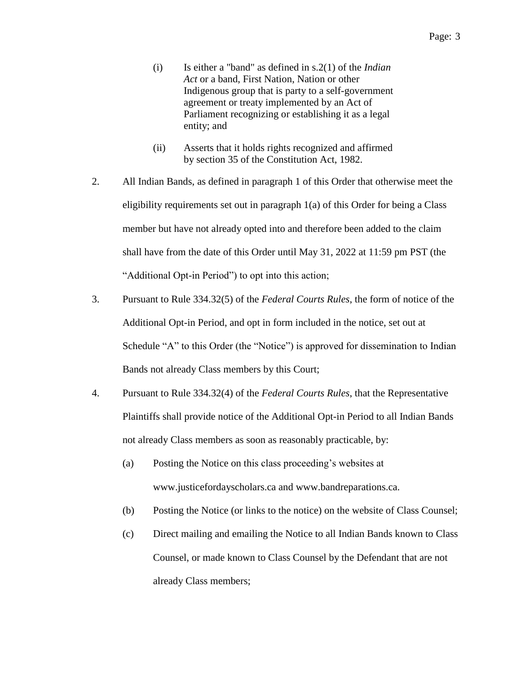- (i) Is either a "band" as defined in s.2(1) of the *Indian Act* or a band, First Nation, Nation or other Indigenous group that is party to a self-government agreement or treaty implemented by an Act of Parliament recognizing or establishing it as a legal entity; and
- (ii) Asserts that it holds rights recognized and affirmed by section 35 of the Constitution Act, 1982.
- 2. All Indian Bands, as defined in paragraph 1 of this Order that otherwise meet the eligibility requirements set out in paragraph 1(a) of this Order for being a Class member but have not already opted into and therefore been added to the claim shall have from the date of this Order until May 31, 2022 at 11:59 pm PST (the "Additional Opt-in Period") to opt into this action;
- 3. Pursuant to Rule 334.32(5) of the *Federal Courts Rules*, the form of notice of the Additional Opt-in Period, and opt in form included in the notice, set out at Schedule "A" to this Order (the "Notice") is approved for dissemination to Indian Bands not already Class members by this Court;
- 4. Pursuant to Rule 334.32(4) of the *Federal Courts Rules*, that the Representative Plaintiffs shall provide notice of the Additional Opt-in Period to all Indian Bands not already Class members as soon as reasonably practicable, by:
	- (a) Posting the Notice on this class proceeding's websites at www.justicefordayscholars.ca and www.bandreparations.ca.
	- (b) Posting the Notice (or links to the notice) on the website of Class Counsel;
	- (c) Direct mailing and emailing the Notice to all Indian Bands known to Class Counsel, or made known to Class Counsel by the Defendant that are not already Class members;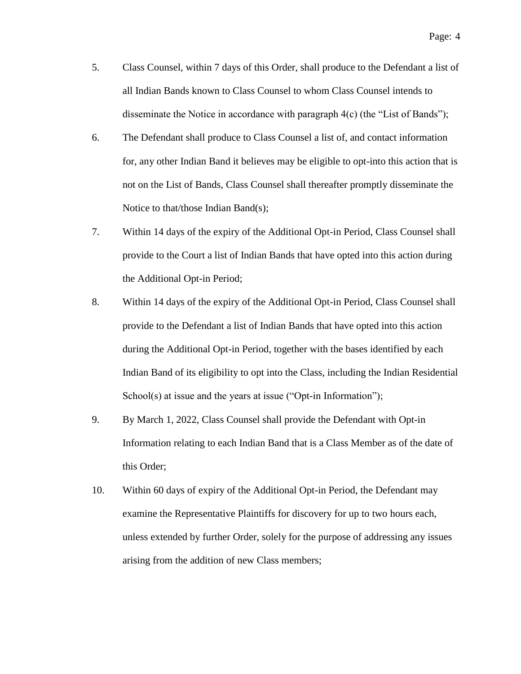- 5. Class Counsel, within 7 days of this Order, shall produce to the Defendant a list of all Indian Bands known to Class Counsel to whom Class Counsel intends to disseminate the Notice in accordance with paragraph 4(c) (the "List of Bands");
- 6. The Defendant shall produce to Class Counsel a list of, and contact information for, any other Indian Band it believes may be eligible to opt-into this action that is not on the List of Bands, Class Counsel shall thereafter promptly disseminate the Notice to that/those Indian Band(s);
- 7. Within 14 days of the expiry of the Additional Opt-in Period, Class Counsel shall provide to the Court a list of Indian Bands that have opted into this action during the Additional Opt-in Period;
- 8. Within 14 days of the expiry of the Additional Opt-in Period, Class Counsel shall provide to the Defendant a list of Indian Bands that have opted into this action during the Additional Opt-in Period, together with the bases identified by each Indian Band of its eligibility to opt into the Class, including the Indian Residential School(s) at issue and the years at issue ("Opt-in Information");
- 9. By March 1, 2022, Class Counsel shall provide the Defendant with Opt-in Information relating to each Indian Band that is a Class Member as of the date of this Order;
- 10. Within 60 days of expiry of the Additional Opt-in Period, the Defendant may examine the Representative Plaintiffs for discovery for up to two hours each, unless extended by further Order, solely for the purpose of addressing any issues arising from the addition of new Class members;